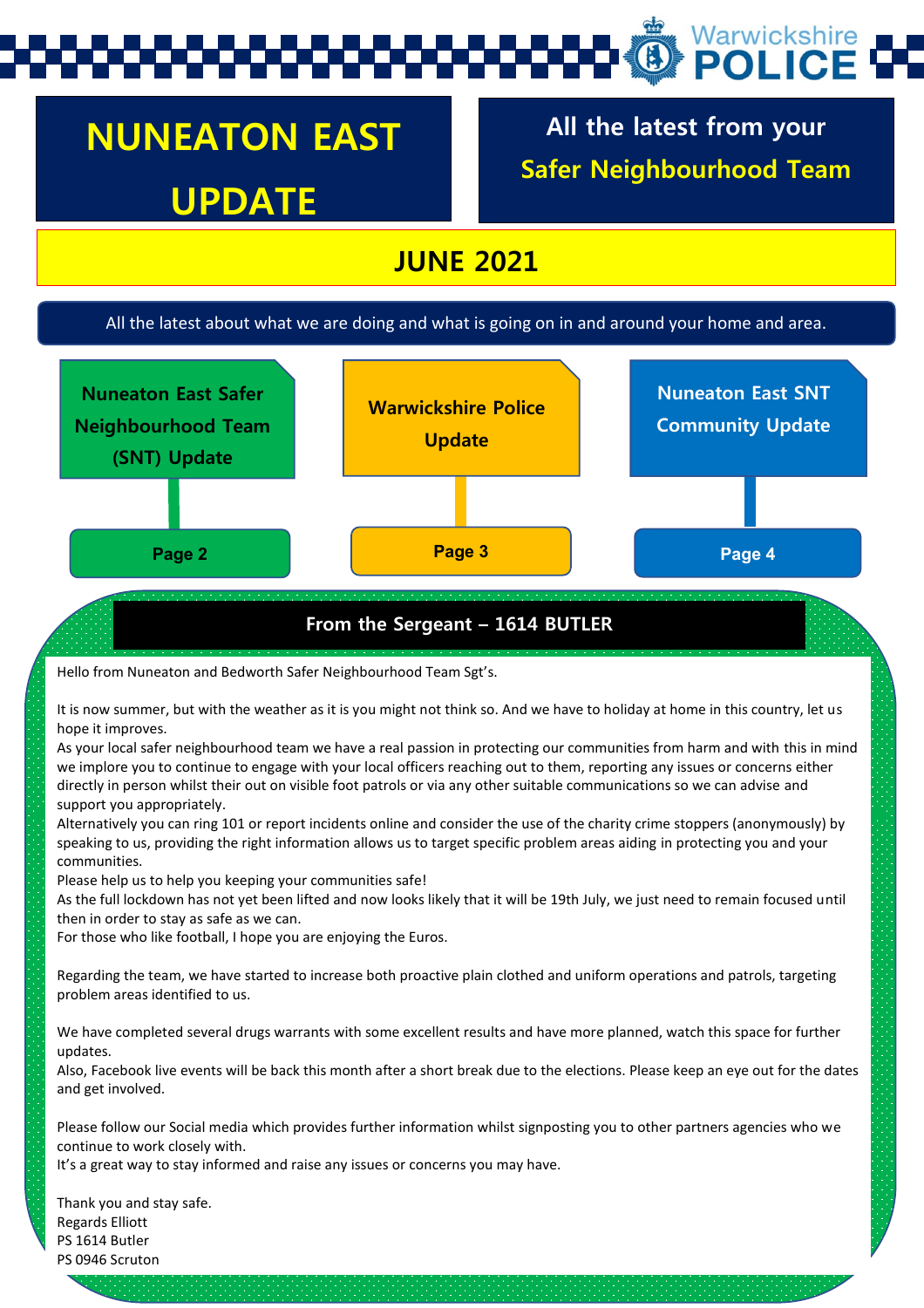# Warwickshire

## **NUNEATON EAST UPDATE**

**All the latest from your Safer Neighbourhood Team**

### **JUNE 2021**

#### All the latest about what we are doing and what is going on in and around your home and area.



#### **From the Sergeant – 1614 BUTLER**

Hello from Nuneaton and Bedworth Safer Neighbourhood Team Sgt's.

It is now summer, but with the weather as it is you might not think so. And we have to holiday at home in this country, let us hope it improves.

As your local safer neighbourhood team we have a real passion in protecting our communities from harm and with this in mind we implore you to continue to engage with your local officers reaching out to them, reporting any issues or concerns either directly in person whilst their out on visible foot patrols or via any other suitable communications so we can advise and support you appropriately.

Alternatively you can ring 101 or report incidents online and consider the use of the charity crime stoppers (anonymously) by speaking to us, providing the right information allows us to target specific problem areas aiding in protecting you and your communities.

Please help us to help you keeping your communities safe!

As the full lockdown has not yet been lifted and now looks likely that it will be 19th July, we just need to remain focused until then in order to stay as safe as we can.

For those who like football, I hope you are enjoying the Euros.

Regarding the team, we have started to increase both proactive plain clothed and uniform operations and patrols, targeting problem areas identified to us.

We have completed several drugs warrants with some excellent results and have more planned, watch this space for further updates.

Also, Facebook live events will be back this month after a short break due to the elections. Please keep an eye out for the dates and get involved.

Please follow our Social media which provides further information whilst signposting you to other partners agencies who we continue to work closely with.

It's a great way to stay informed and raise any issues or concerns you may have.

Thank you and stay safe. Regards Elliott PS 1614 Butler PS 0946 Scruton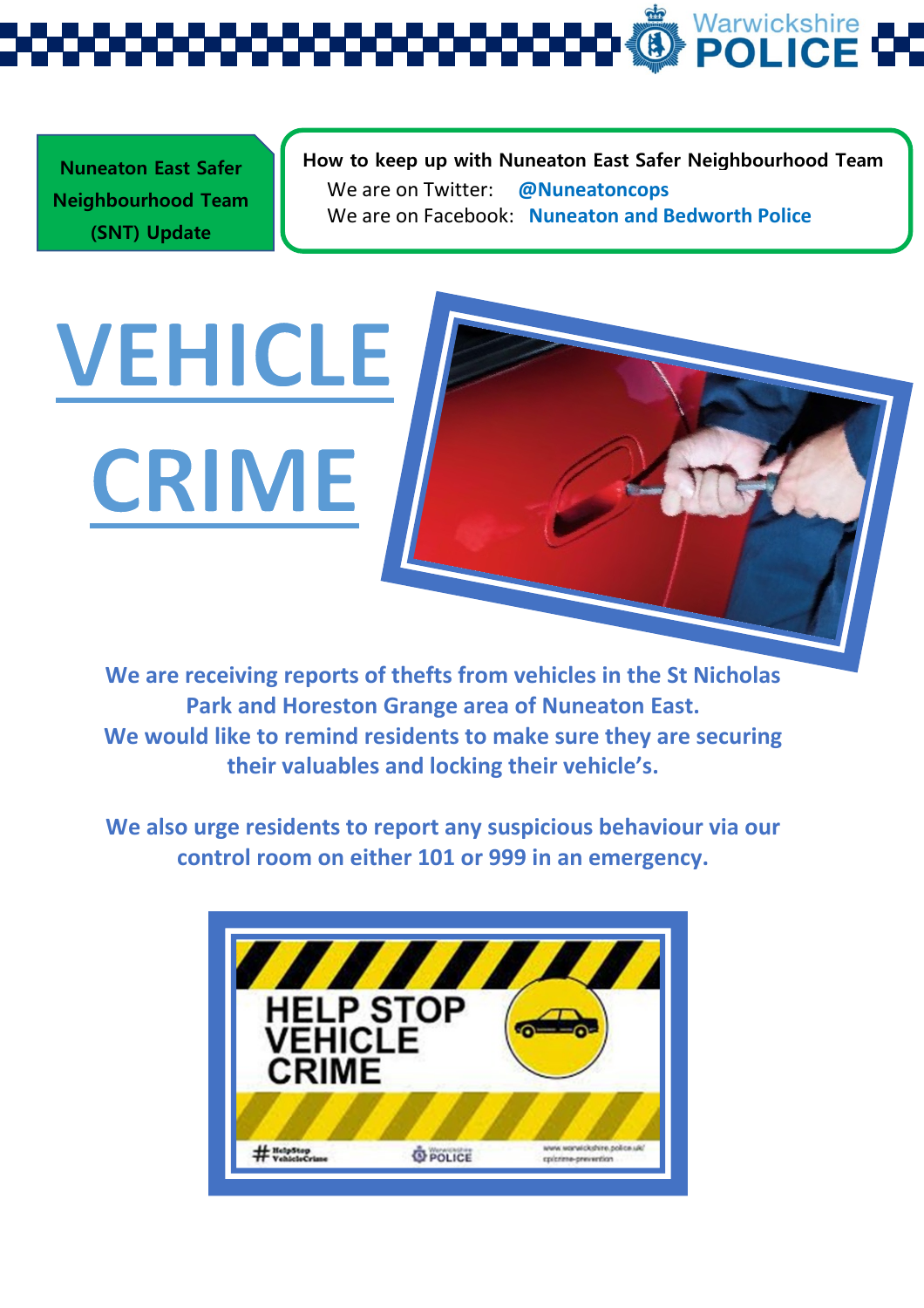Warwickshire<br>**POLICE** G

**Nuneaton East Safer Neighbourhood Team (SNT) Update** 

**VEHICLE** 

CRIME

**How to keep up with Nuneaton East Safer Neighbourhood Team**  We are on Twitter: **@Nuneatoncops** We are on Facebook: **Nuneaton and Bedworth Police**

**We are receiving reports o[f thefts from vehicles in the St Nicholas](https://www.google.com/url?sa=i&url=https://www.warwickshire.police.uk/cp/crime-prevention/keeping-vehicles-safe/&psig=AOvVaw2y6TOXKqzj9vjzOJAbfmLP&ust=1625241656988000&source=images&cd=vfe&ved=0CAcQjRxqFwoTCKiZlI-fwvECFQAAAAAdAAAAABAE)  Park and Horeston Grange area of Nuneaton East. We would like to remind residents to make sure they are securing their valuables and locking their vehicle's.**

**We also urge residents to report any suspicious behaviour via our control room on either 101 or 999 in an emergency.** 

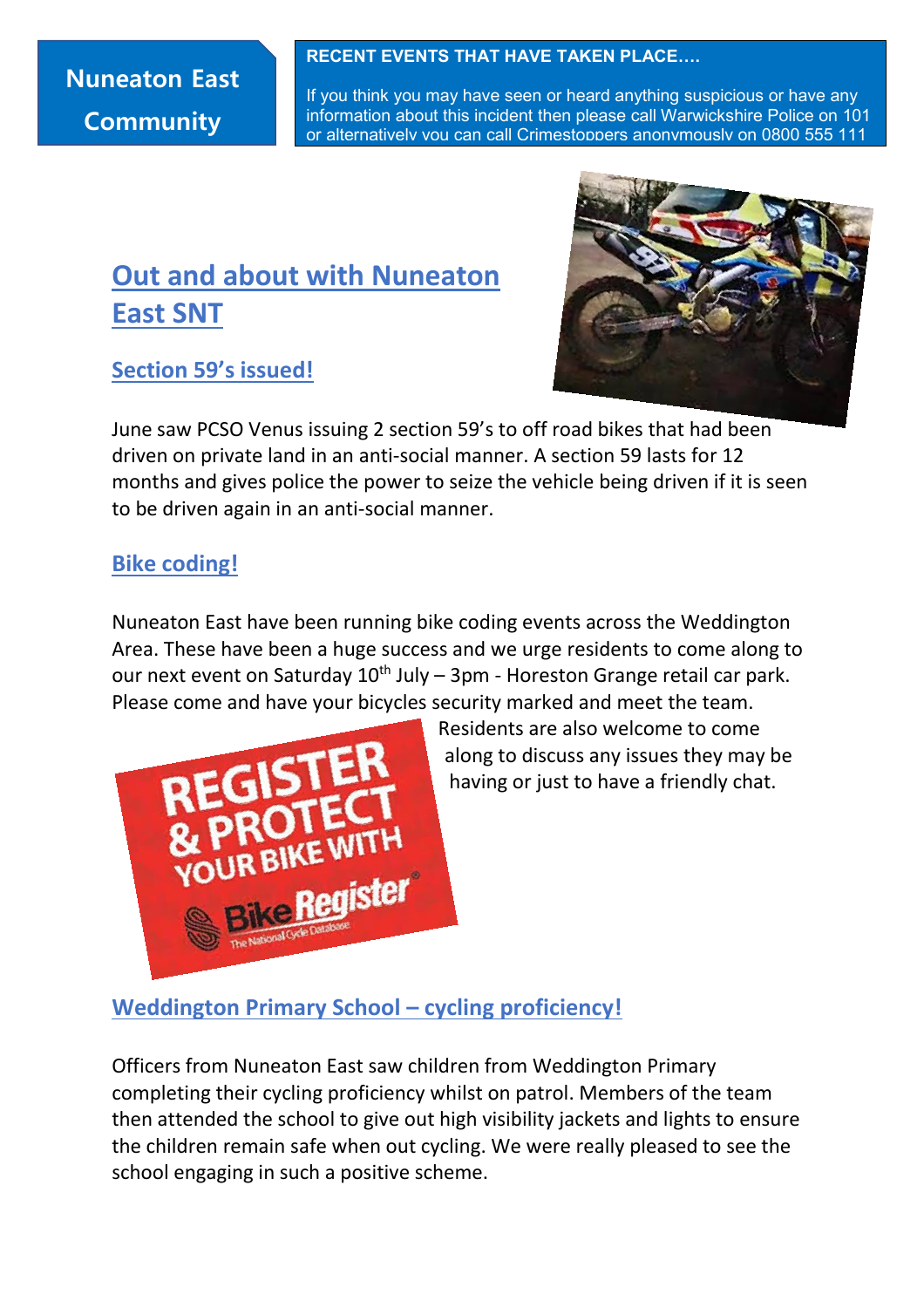### **Nuneaton East Community**

#### **RECENT EVENTS THAT HAVE TAKEN PLACE….**

If you think you may have seen or heard anything suspicious or have any information about this incident then please call Warwickshire Police on 101 or alternatively you can call Crimestoppers anonymously on 0800 555 111

### **Out and about with Nuneaton East SNT**

### **Section 59's issued!**



June saw PCSO Venus issuing 2 section 59's to off road bikes that had been driven on private land in an anti-social manner. A section 59 lasts for 12 months and gives police the power to seize the vehicle being driven if it is seen to be driven again in an anti-social manner.

### **Bike coding!**

Nuneaton East have been running bike coding events across the Weddington Area. These have been a huge success and we urge residents to come along to our next event on Saturday  $10^{th}$  July – 3pm - Horeston Grange retail car park. Please come and have your bicycles security marked and meet the team.



Residents are also welcome to come along to discuss any issues they may be having or just to have a friendly chat.

### **Weddington Primary School – cycling proficiency!**

Officers from Nuneaton East saw children from Weddington Primary completing their cycling proficiency whilst on patrol. Members of the team then attended the school to give out high visibility jackets and lights to ensure the children remain safe when out cycling. We were really pleased to see the school engaging in such a positive scheme.